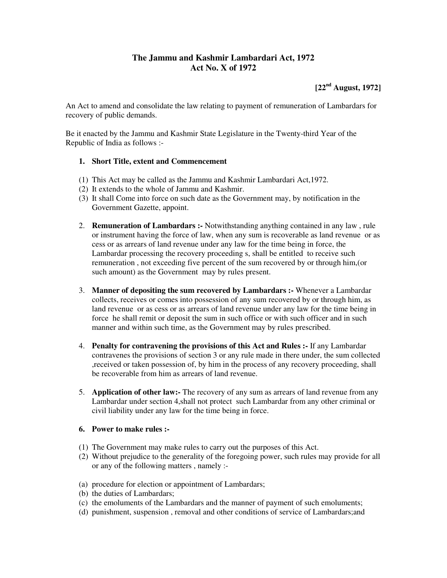## **The Jammu and Kashmir Lambardari Act, 1972 Act No. X of 1972**

**[22nd August, 1972]** 

An Act to amend and consolidate the law relating to payment of remuneration of Lambardars for recovery of public demands.

Be it enacted by the Jammu and Kashmir State Legislature in the Twenty-third Year of the Republic of India as follows :-

## **1. Short Title, extent and Commencement**

- (1) This Act may be called as the Jammu and Kashmir Lambardari Act,1972.
- (2) It extends to the whole of Jammu and Kashmir.
- (3) It shall Come into force on such date as the Government may, by notification in the Government Gazette, appoint.
- 2. **Remuneration of Lambardars :-** Notwithstanding anything contained in any law , rule or instrument having the force of law, when any sum is recoverable as land revenue or as cess or as arrears of land revenue under any law for the time being in force, the Lambardar processing the recovery proceeding s, shall be entitled to receive such remuneration , not exceeding five percent of the sum recovered by or through him,(or such amount) as the Government may by rules present.
- 3. **Manner of depositing the sum recovered by Lambardars :-** Whenever a Lambardar collects, receives or comes into possession of any sum recovered by or through him, as land revenue or as cess or as arrears of land revenue under any law for the time being in force he shall remit or deposit the sum in such office or with such officer and in such manner and within such time, as the Government may by rules prescribed.
- 4. **Penalty for contravening the provisions of this Act and Rules :-** If any Lambardar contravenes the provisions of section 3 or any rule made in there under, the sum collected ,received or taken possession of, by him in the process of any recovery proceeding, shall be recoverable from him as arrears of land revenue.
- 5. **Application of other law:-** The recovery of any sum as arrears of land revenue from any Lambardar under section 4,shall not protect such Lambardar from any other criminal or civil liability under any law for the time being in force.

## **6. Power to make rules :-**

- (1) The Government may make rules to carry out the purposes of this Act.
- (2) Without prejudice to the generality of the foregoing power, such rules may provide for all or any of the following matters , namely :-
- (a) procedure for election or appointment of Lambardars;
- (b) the duties of Lambardars;
- (c) the emoluments of the Lambardars and the manner of payment of such emoluments;
- (d) punishment, suspension , removal and other conditions of service of Lambardars;and